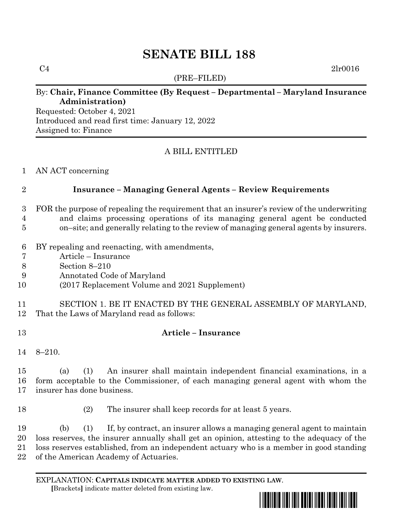# **SENATE BILL 188**

(PRE–FILED)

 $C4$  2lr0016

# By: **Chair, Finance Committee (By Request – Departmental – Maryland Insurance Administration)**

Requested: October 4, 2021 Introduced and read first time: January 12, 2022 Assigned to: Finance

# A BILL ENTITLED

#### AN ACT concerning

### **Insurance – Managing General Agents – Review Requirements**

- FOR the purpose of repealing the requirement that an insurer's review of the underwriting
- and claims processing operations of its managing general agent be conducted
- on–site; and generally relating to the review of managing general agents by insurers.
- BY repealing and reenacting, with amendments,
- Article Insurance
- Section 8–210
- Annotated Code of Maryland
- (2017 Replacement Volume and 2021 Supplement)
- SECTION 1. BE IT ENACTED BY THE GENERAL ASSEMBLY OF MARYLAND, That the Laws of Maryland read as follows:
- **Article – Insurance**
- 8–210.

 (a) (1) An insurer shall maintain independent financial examinations, in a form acceptable to the Commissioner, of each managing general agent with whom the insurer has done business.

(2) The insurer shall keep records for at least 5 years.

 (b) (1) If, by contract, an insurer allows a managing general agent to maintain loss reserves, the insurer annually shall get an opinion, attesting to the adequacy of the loss reserves established, from an independent actuary who is a member in good standing of the American Academy of Actuaries.

EXPLANATION: **CAPITALS INDICATE MATTER ADDED TO EXISTING LAW**.  **[**Brackets**]** indicate matter deleted from existing law.